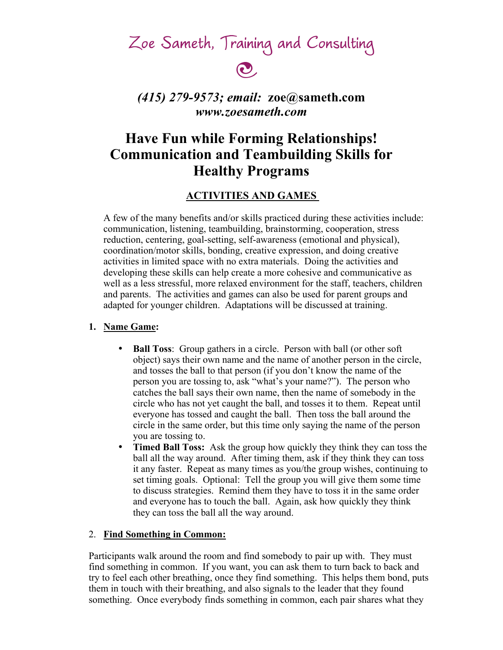Zoe Sameth, Training and Consulting

# $\mathbf{\odot}$

### *(415) 279-9573; email:* **zoe@sameth.com** *www.zoesameth.com*

## **Have Fun while Forming Relationships! Communication and Teambuilding Skills for Healthy Programs**

#### **ACTIVITIES AND GAMES**

A few of the many benefits and/or skills practiced during these activities include: communication, listening, teambuilding, brainstorming, cooperation, stress reduction, centering, goal-setting, self-awareness (emotional and physical), coordination/motor skills, bonding, creative expression, and doing creative activities in limited space with no extra materials. Doing the activities and developing these skills can help create a more cohesive and communicative as well as a less stressful, more relaxed environment for the staff, teachers, children and parents. The activities and games can also be used for parent groups and adapted for younger children. Adaptations will be discussed at training.

#### **1. Name Game:**

- **Ball Toss**: Group gathers in a circle. Person with ball (or other soft object) says their own name and the name of another person in the circle, and tosses the ball to that person (if you don't know the name of the person you are tossing to, ask "what's your name?"). The person who catches the ball says their own name, then the name of somebody in the circle who has not yet caught the ball, and tosses it to them. Repeat until everyone has tossed and caught the ball. Then toss the ball around the circle in the same order, but this time only saying the name of the person you are tossing to.
- **Timed Ball Toss:** Ask the group how quickly they think they can toss the ball all the way around. After timing them, ask if they think they can toss it any faster. Repeat as many times as you/the group wishes, continuing to set timing goals. Optional: Tell the group you will give them some time to discuss strategies. Remind them they have to toss it in the same order and everyone has to touch the ball. Again, ask how quickly they think they can toss the ball all the way around.

#### 2. **Find Something in Common:**

Participants walk around the room and find somebody to pair up with. They must find something in common. If you want, you can ask them to turn back to back and try to feel each other breathing, once they find something. This helps them bond, puts them in touch with their breathing, and also signals to the leader that they found something. Once everybody finds something in common, each pair shares what they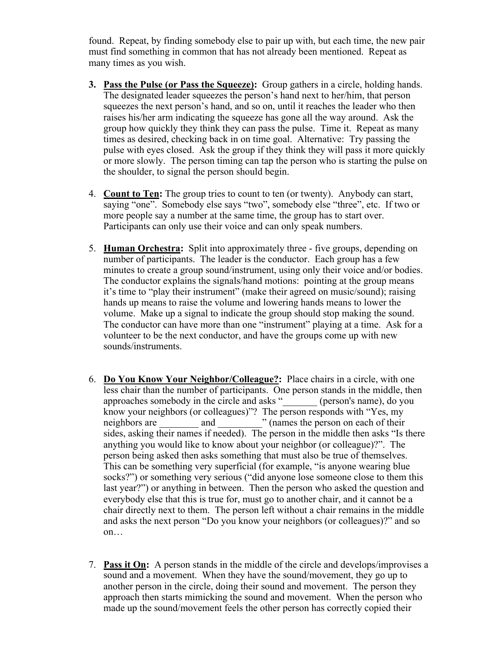found. Repeat, by finding somebody else to pair up with, but each time, the new pair must find something in common that has not already been mentioned. Repeat as many times as you wish.

- **3. Pass the Pulse (or Pass the Squeeze):** Group gathers in a circle, holding hands. The designated leader squeezes the person's hand next to her/him, that person squeezes the next person's hand, and so on, until it reaches the leader who then raises his/her arm indicating the squeeze has gone all the way around. Ask the group how quickly they think they can pass the pulse. Time it. Repeat as many times as desired, checking back in on time goal. Alternative: Try passing the pulse with eyes closed. Ask the group if they think they will pass it more quickly or more slowly. The person timing can tap the person who is starting the pulse on the shoulder, to signal the person should begin.
- 4. **Count to Ten:** The group tries to count to ten (or twenty). Anybody can start, saying "one". Somebody else says "two", somebody else "three", etc. If two or more people say a number at the same time, the group has to start over. Participants can only use their voice and can only speak numbers.
- 5. **Human Orchestra:** Split into approximately three five groups, depending on number of participants. The leader is the conductor. Each group has a few minutes to create a group sound/instrument, using only their voice and/or bodies. The conductor explains the signals/hand motions: pointing at the group means it's time to "play their instrument" (make their agreed on music/sound); raising hands up means to raise the volume and lowering hands means to lower the volume. Make up a signal to indicate the group should stop making the sound. The conductor can have more than one "instrument" playing at a time. Ask for a volunteer to be the next conductor, and have the groups come up with new sounds/instruments.
- 6. **Do You Know Your Neighbor/Colleague?:** Place chairs in a circle, with one less chair than the number of participants. One person stands in the middle, then approaches somebody in the circle and asks "\_\_\_\_\_\_\_ (person's name), do you know your neighbors (or colleagues)"? The person responds with "Yes, my neighbors are and  $\frac{1}{2}$  and  $\frac{1}{2}$  (names the person on each of their sides, asking their names if needed). The person in the middle then asks "Is there anything you would like to know about your neighbor (or colleague)?". The person being asked then asks something that must also be true of themselves. This can be something very superficial (for example, "is anyone wearing blue socks?") or something very serious ("did anyone lose someone close to them this last year?") or anything in between. Then the person who asked the question and everybody else that this is true for, must go to another chair, and it cannot be a chair directly next to them. The person left without a chair remains in the middle and asks the next person "Do you know your neighbors (or colleagues)?" and so on…
- 7. **Pass it On:** A person stands in the middle of the circle and develops/improvises a sound and a movement. When they have the sound/movement, they go up to another person in the circle, doing their sound and movement. The person they approach then starts mimicking the sound and movement. When the person who made up the sound/movement feels the other person has correctly copied their